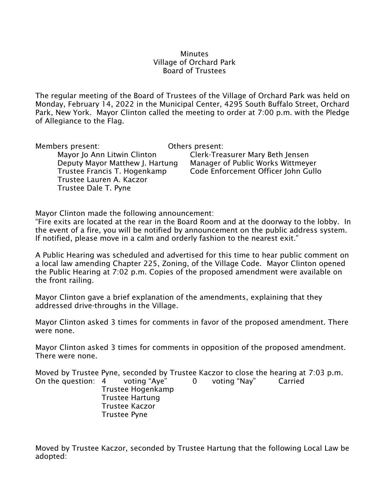#### **Minutes** Village of Orchard Park Board of Trustees

The regular meeting of the Board of Trustees of the Village of Orchard Park was held on Monday, February 14, 2022 in the Municipal Center, 4295 South Buffalo Street, Orchard Park, New York. Mayor Clinton called the meeting to order at 7:00 p.m. with the Pledge of Allegiance to the Flag.

Members present: Others present: Mayor Jo Ann Litwin Clinton Clerk-Treasurer Mary Beth Jensen Deputy Mayor Matthew J. Hartung Manager of Public Works Wittmeyer Trustee Francis T. Hogenkamp Code Enforcement Officer John Gullo Trustee Lauren A. Kaczor Trustee Dale T. Pyne

Mayor Clinton made the following announcement:

"Fire exits are located at the rear in the Board Room and at the doorway to the lobby. In the event of a fire, you will be notified by announcement on the public address system. If notified, please move in a calm and orderly fashion to the nearest exit."

A Public Hearing was scheduled and advertised for this time to hear public comment on a local law amending Chapter 225, Zoning, of the Village Code. Mayor Clinton opened the Public Hearing at 7:02 p.m. Copies of the proposed amendment were available on the front railing.

Mayor Clinton gave a brief explanation of the amendments, explaining that they addressed drive-throughs in the Village.

Mayor Clinton asked 3 times for comments in favor of the proposed amendment. There were none.

Mayor Clinton asked 3 times for comments in opposition of the proposed amendment. There were none.

Moved by Trustee Pyne, seconded by Trustee Kaczor to close the hearing at 7:03 p.m.

On the question: 4 voting "Aye" 0 voting "Nay" Carried Trustee Hogenkamp Trustee Hartung Trustee Kaczor Trustee Pyne

Moved by Trustee Kaczor, seconded by Trustee Hartung that the following Local Law be adopted: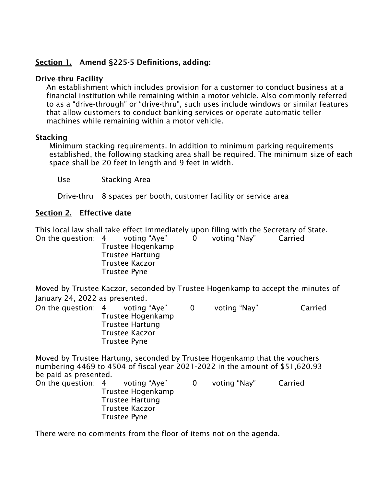# **Section 1. Amend §225-5 Definitions, adding:**

### **Drive-thru Facility**

An establishment which includes provision for a customer to conduct business at a financial institution while remaining within a motor vehicle. Also commonly referred to as a "drive-through" or "drive-thru", such uses include windows or similar features that allow customers to conduct banking services or operate automatic teller machines while remaining within a motor vehicle.

### **Stacking**

Minimum stacking requirements. In addition to minimum parking requirements established, the following stacking area shall be required. The minimum size of each space shall be 20 feet in length and 9 feet in width.

Use Stacking Area

Drive-thru 8 spaces per booth, customer facility or service area

## **Section 2. Effective date**

This local law shall take effect immediately upon filing with the Secretary of State.

On the question: 4 voting "Aye" 0 voting "Nay" Carried Trustee Hogenkamp Trustee Hartung Trustee Kaczor Trustee Pyne

Moved by Trustee Kaczor, seconded by Trustee Hogenkamp to accept the minutes of January 24, 2022 as presented.

On the question: 4 voting "Aye" 0 voting "Nay" Carried Trustee Hogenkamp Trustee Hartung Trustee Kaczor Trustee Pyne

Moved by Trustee Hartung, seconded by Trustee Hogenkamp that the vouchers numbering 4469 to 4504 of fiscal year 2021-2022 in the amount of \$51,620.93 be paid as presented. On the question: 4 voting "Aye" 0 voting "Nay" Carried Trustee Hogenkamp Trustee Hartung Trustee Kaczor Trustee Pyne

There were no comments from the floor of items not on the agenda.